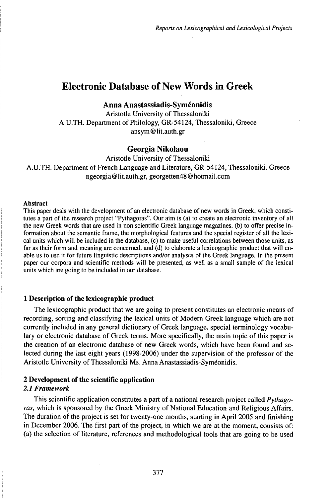# Electronic Database of New Words in Greek

**Anna Anastassiadis-Symeonidis**

Aristotle University of Thessaloniki A.U.TH. Department of Philology, GR-54124, Thessaloniki, Greece ansym@lit.auth.gr

## **Georgia NikoIaou**

Aristotle University of Thessaloniki A.U.TH. Department of French Language and Literature, GR-54124, Thessaloniki, Greece ngeorgia@lit.auth.gr, georgetten48@hotmail.com

#### Abstract

This paper deals with the development of an electronic database of new words in Greek, which constitutes a part of the research project "Pythagoras". Our aim is (a) to create an electronic inventory of all the new Greek words that are used in non scientific Greek language magazines, (b) to offer precise information about the semantic frame, the morphological features and the special register of all the lexical units which will be included in the database, (c) to make useful correlations between those units, as far as their form and meaning are concerned, and (d) to elaborate a lexicographic product that will enable us to use it for future linguistic descriptions and/or analyses of the Greek language. In the present paper our corpora and scientific methods will be presented, as well as a small sample of the lexical units which are going to be included in our database.

## **1 Description of the lexicographic product**

The lexicographic product that we are going to present constitutes an electronic means of recording, sorting and classifying the lexical units of Modern Greek language which are not currently included in any general dictionary of Greek language, special terminology vocabulary or electronic database of Greek terms. More specifically, the main topic of this paper is the creation of an electronic database of new Greek words, which have been found and selected during the last eight years (1998-2006) under the supervision of the professor of the Aristotle University of Thessaloniki Ms. Anna Anastassiadis-Syméonidis.

## **2 Development of the scientific application**

## *2.1 Framework*

This scientific application constitutes a part of a national research project called *Pythagoras,* which is sponsored by the Greek Ministry of National Education and Religious Affairs. The duration of the project is set for twenty-one months, starting in April 2005 and finishing in December 2006. The first part of the project, in which we are at the moment, consists of: (a) the selection of literature, references and methodological tools that are going to be used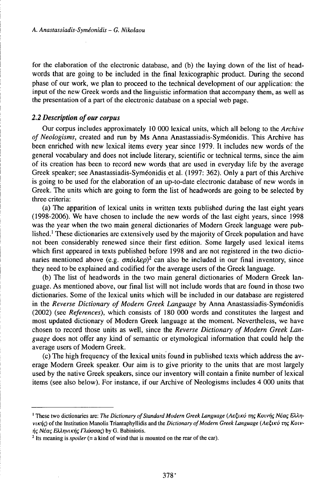for the elaboration of the electronic database, and (b) the laying down of the list of headwords that are going to be included in the final lexicographic product. During the second phase of our work, we plan to proceed to the technical development of our application: the input of the new Greek words and the linguistic information that accompany them, as well as the presentation of a part of the electronic database on a special web page.

## *2.2 Description ofour corpus*

Our corpus includes approximately 10 000 lexical units, which all belong to the *Archive of Neologisms,* created and run by Ms Anna Anastassiàdis-Syméonidis. This Archive has been enriched with new lexical items every year since 1979. It includes new words of the general vocabulary and does not include literary, scientific or technical terms, since the aim of its creation has been to record new words that are used in everyday life by the average Greek speaker; see Anastassiadis-Syméonidis et al. (1997: 362). Only a part of this Archive is going to be used for the elaboration of an up-to-date electronic database of new words in Greek. The units which are going to form the list of headwords are going to be selected by three criteria:

(a) The apparition of lexical units in written texts published during the last eight years (1998-2006). We have chosen to include the new words of the last eight years, since 1998 was the year when the two main general dictionaries of Modern Greek language were published.<sup>1</sup> These dictionaries are extensively used by the majority of Greek population and have not been considerably renewed since their first edition. Some largely used lexical items which first appeared in texts published before 1998 and are not registered in the two dictionaries mentioned above (e.g. *σπόιλερ*)<sup>2</sup> can also be included in our final inventory, since they need to be explained and codified for the average users of the Greek language.

(b) The list of headwords in the two main general dictionaries of Modern Greek language. As mentioned above, our final list will not include words that are found in those two dictionaries. Some of the lexical units which will be included in our database are registered in the *Reverse Dictionary of Modern Greek Language* by Anna Anastassiadis-Syméonidis (2002) (see *References),* which consists of 180 000 words and constitutes the largest and most updated dictionary of Modern Greek language at the moment. Nevertheless, we have chosen to record those units as well, since the *Reverse Dictionary of Modern Greek Language* does not offer any kind of semantic or etymological information that could help the average users of Modern Greek.

(c) The high frequency of the lexical units found in published texts which address the average Modern Greek speaker. Our aim is to give priority to the units that are mostlargely used by the native Greek speakers, since our inventory will contain a finite number of lexical items (see also below). For instance, if our Archive of Neologisms includes 4 000 units that

<sup>&</sup>lt;sup>1</sup> These two dictionaries are: *The Dictionary of Standard Modern Greek Language* (Λεξικό της Κοινής Νέας Ελληνικής) of the Institution Manolis Triantaphyllidis and the Dictionary of Modern Greek Language (Λεξικό της Κοιν-<br>ής Νέας Ελληνικής Γλώσσας) by G. Babiniotis.<br>-

<sup>2</sup> Its meaning is *spoiler* (= a kind of wind that is mounted on the rear of the car).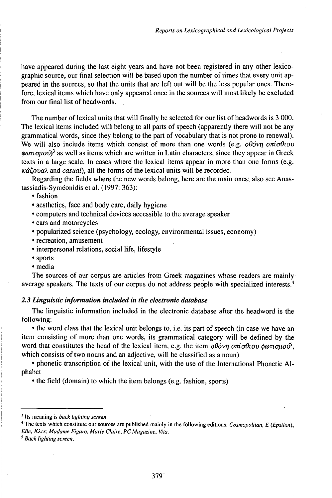have appeared during the last eight years and have not been registered in any other lexicographic source, our final selection will be based upon the number of times that every unit appeared in the sources, so that the units that are left out will be the less popular ones. Therefore, lexical items which have only appeared once in the sources will most likely be excluded from our final list of headwords.

The number of lexical units that will finally be selected for our list of headwords is 3 000. The lexical items included will belong to all parts of speech (apparently there will not be any grammatical words, since they belong to the part of vocabulary that is not prone to renewal). We will also include items which consist of more than one words (e.g. *obovn oniodiov*  $\phi \omega \tau \omega_0$  as well as items which are written in Latin characters, since they appear in Greek texts in a large scale. In cases where the lexical items appear in more than one forms (e.g. *KÓCovaA,* and *casual),* all the forms of the lexical units will be recorded.

Regarding the fields where the new words belong, here are the main ones; also see Anastassiadis-Syméonidis et al. (1997: 363):

• fashion

- aesthetics, face and body care, daily hygiene
- computers and technical devices accessible to the average speaker
- cars and motorcycles
- popularized science (psychology, ecology, environmental issues, economy)
- recreation, amusement
- interpersonal relations, social life, lifestyle
- sports
- media

The sources of our corpus are articles from Greek magazines whose readers are mainly average speakers. The texts of our corpus do not address people with specialized interests.<sup>4</sup>

#### *2.3 Linguistic information included in the electronic database*

The linguistic information included in the electronic database after the headword is the following:

• the word class that the lexical unit belongs to, i.e. its part of speech (in case we have an item consisting of more than one words, its grammatical category will be defined by the word that constitutes the head of the lexical item, e.g. the item  $\partial \theta \partial \nu \eta \partial \pi i \partial \theta$ which consists of two nouns and an adjective, will be classified as a noun)

• phonetic transcription of the lexical unit, with the use of the International Phonetic Alphabet

• the field (domain) to which the item belongs (e.g. fashion, sports)

<sup>5</sup> *Back lighting screen.*

<sup>3</sup> Its meaning is *back lighting screen.*

<sup>4</sup> The texts which constitute our sources are published mainly in the following editions: *Cosmopolitan, E (Epsiloh), Elle, KXiK, Madame Figaro, Marie Claire, PCMagazine, Vita.*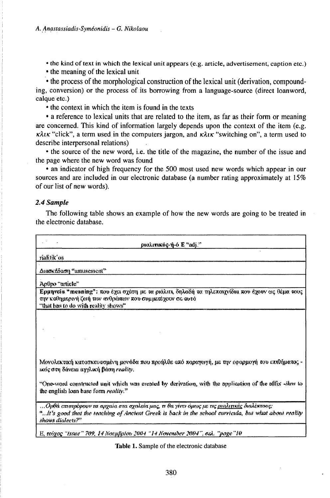• the kind of text in which the lexical unit appears (e.g. article, advertisement, caption etc.)

• the meaning of the lexical unit

• the process of the morphological construction of the lexical unit (derivation, compounding, conversion) or the process of its borrowing from a language-source (direct loanword, calque etc.)

• the context in which the item is found in the texts

• a reference to lexical units that are related to the item, as far as their form or meaning are concerned. This kind of information largely depends upon the context of the item (e.g.  $\kappa \lambda \iota \kappa$  "click", a term used in the computers jargon, and  $\kappa \lambda \iota \kappa$  "switching on", a term used to describe interpersonal relations)

• the source of the new word, i.e. the title of the magazine, the number of the issue and the page where the new word was found

• an indicator of high frequency for the 500 most used new words which appear in our sources and are included in our electronic database (a number rating approximately at 15% of our list of new words).

### 2.4 Sample

r

The following table shows an example of how the new words are going to be treated in the electronic database.

٦

| ріаллікос-й-о Е "жіј."                                                                                                                                                                                                             |
|------------------------------------------------------------------------------------------------------------------------------------------------------------------------------------------------------------------------------------|
| rialitik os                                                                                                                                                                                                                        |
| Ausok Loosy "annusement"                                                                                                                                                                                                           |
| Ao0po "urticle"                                                                                                                                                                                                                    |
| Ερμηνεία "meaning": που έχει σχέση με τα ριόλιτι, δηλαδή τα τηλεποιχνίδια που έχουν ως θέμα τους<br>την καθημερινή ζωή τον ανθρώπων που συμμετέχουν σε αυτό<br>"that has to do with reality shows"                                 |
|                                                                                                                                                                                                                                    |
|                                                                                                                                                                                                                                    |
|                                                                                                                                                                                                                                    |
| Μονολεκτική κατασκευασμένη μενάδα που προήλθε από παραγωγή, με την εφαρμογή του επιθήματας -<br>ικός στη δάνεια αγγλική βάση reality.                                                                                              |
| "One-word constructed unit which was created by derivation, with the application of the affix - <i>illow</i> to<br>the english loan base form reality."                                                                            |
| Ορθά επιστρέφουν τα αρχαία στα σχαλεία μας, τι θα γίνει όμους με τις <u>ρυαλιτικές</u> διαλέκτους;<br>n if's good that the teaching of Ancient Greek is back in the school curricula, but what about reality."<br>shows dialects?" |
| E, reigoç "Issue" 709, 14 Nosafqılov 2004 "14 November 2004", osl. "poge "10                                                                                                                                                       |
| Table 1. Sample of the electronic database                                                                                                                                                                                         |